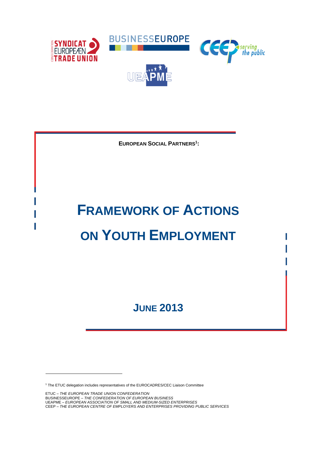

**EUROPEAN SOCIAL PARTNERS<sup>1</sup> :**

# **FRAMEWORK OF ACTIONS ON YOUTH EMPLOYMENT**

**JUNE 2013**

<sup>1</sup> The ETUC delegation includes representatives of the EUROCADRES/CEC Liaison Committee

ETUC – *THE EUROPEAN TRADE UNION CONFEDERATION*  BUSINESSEUROPE *– THE CONFEDERATION OF EUROPEAN BUSINESS*  UEAPME *– EUROPEAN ASSOCIATION OF SMALL AND MEDIUM-SIZED ENTERPRISES*  CEEP *– THE EUROPEAN CENTRE OF EMPLOYERS AND ENTERPRISES PROVIDING PUBLIC SERVICES*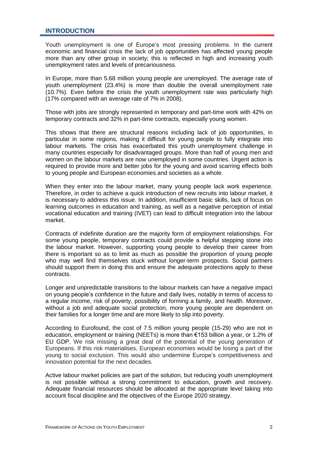# **INTRODUCTION**

Youth unemployment is one of Europe's most pressing problems. In the current economic and financial crisis the lack of job opportunities has affected young people more than any other group in society; this is reflected in high and increasing youth unemployment rates and levels of precariousness.

In Europe, more than 5.68 million young people are unemployed. The average rate of youth unemployment (23.4%) is more than double the overall unemployment rate (10.7%). Even before the crisis the youth unemployment rate was particularly high (17% compared with an average rate of 7% in 2008).

Those with jobs are strongly represented in temporary and part-time work with 42% on temporary contracts and 32% in part-time contracts, especially young women.

This shows that there are structural reasons including lack of job opportunities, in particular in some regions, making it difficult for young people to fully integrate into labour markets. The crisis has exacerbated this youth unemployment challenge in many countries especially for disadvantaged groups. More than half of young men and women on the labour markets are now unemployed in some countries. Urgent action is required to provide more and better jobs for the young and avoid scarring effects both to young people and European economies and societies as a whole.

When they enter into the labour market, many young people lack work experience. Therefore, in order to achieve a quick introduction of new recruits into labour market, it is necessary to address this issue. In addition, insufficient basic skills, lack of focus on learning outcomes in education and training, as well as a negative perception of initial vocational education and training (IVET) can lead to difficult integration into the labour market.

Contracts of indefinite duration are the majority form of employment relationships. For some young people, temporary contracts could provide a helpful stepping stone into the labour market. However, supporting young people to develop their career from there is important so as to limit as much as possible the proportion of young people who may well find themselves stuck without longer-term prospects. Social partners should support them in doing this and ensure the adequate protections apply to these contracts.

Longer and unpredictable transitions to the labour markets can have a negative impact on young people's confidence in the future and daily lives, notably in terms of access to a regular income, risk of poverty, possibility of forming a family, and health. Moreover, without a job and adequate social protection, more young people are dependent on their families for a longer time and are more likely to slip into poverty.

According to Eurofound, the cost of 7.5 million young people (15-29) who are not in education, employment or training (NEETs) is more than €153 billion a year, or 1.2% of EU GDP. We risk missing a great deal of the potential of the young generation of Europeans. If this risk materialises, European economies would be losing a part of the young to social exclusion. This would also undermine Europe's competitiveness and innovation potential for the next decades.

Active labour market policies are part of the solution, but reducing youth unemployment is not possible without a strong commitment to education, growth and recovery. Adequate financial resources should be allocated at the appropriate level taking into account fiscal discipline and the objectives of the Europe 2020 strategy.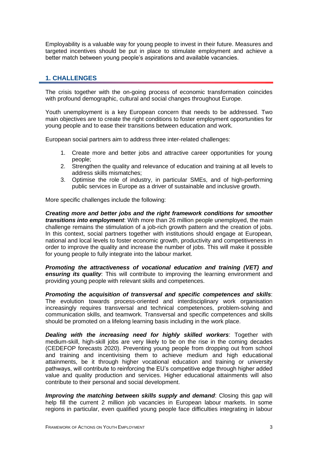Employability is a valuable way for young people to invest in their future. Measures and targeted incentives should be put in place to stimulate employment and achieve a better match between young people's aspirations and available vacancies.

# **1. CHALLENGES**

The crisis together with the on-going process of economic transformation coincides with profound demographic, cultural and social changes throughout Europe.

Youth unemployment is a key European concern that needs to be addressed. Two main objectives are to create the right conditions to foster employment opportunities for young people and to ease their transitions between education and work.

European social partners aim to address three inter-related challenges:

- 1. Create more and better jobs and attractive career opportunities for young people;
- 2. Strengthen the quality and relevance of education and training at all levels to address skills mismatches;
- 3. Optimise the role of industry, in particular SMEs, and of high-performing public services in Europe as a driver of sustainable and inclusive growth.

More specific challenges include the following:

*Creating more and better jobs and the right framework conditions for smoother transitions into employment*: With more than 26 million people unemployed, the main challenge remains the stimulation of a job-rich growth pattern and the creation of jobs. In this context, social partners together with institutions should engage at European, national and local levels to foster economic growth, productivity and competitiveness in order to improve the quality and increase the number of jobs. This will make it possible for young people to fully integrate into the labour market.

*Promoting the attractiveness of vocational education and training (VET) and ensuring its quality*: This will contribute to improving the learning environment and providing young people with relevant skills and competences.

*Promoting the acquisition of transversal and specific competences and skills*: The evolution towards process-oriented and interdisciplinary work organisation increasingly requires transversal and technical competences, problem-solving and communication skills, and teamwork. Transversal and specific competences and skills should be promoted on a lifelong learning basis including in the work place.

*Dealing with the increasing need for highly skilled workers*: Together with medium-skill, high-skill jobs are very likely to be on the rise in the coming decades (CEDEFOP forecasts 2020). Preventing young people from dropping out from school and training and incentivising them to achieve medium and high educational attainments, be it through higher vocational education and training or university pathways, will contribute to reinforcing the EU's competitive edge through higher added value and quality production and services. Higher educational attainments will also contribute to their personal and social development.

*Improving the matching between skills supply and demand*: Closing this gap will help fill the current 2 million job vacancies in European labour markets. In some regions in particular, even qualified young people face difficulties integrating in labour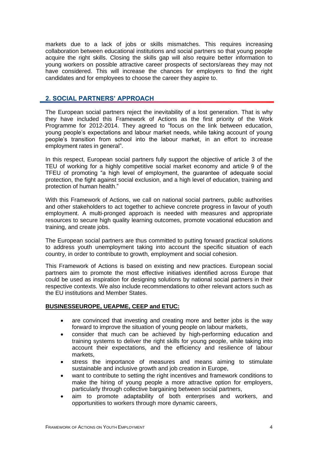markets due to a lack of jobs or skills mismatches. This requires increasing collaboration between educational institutions and social partners so that young people acquire the right skills. Closing the skills gap will also require better information to young workers on possible attractive career prospects of sectors/areas they may not have considered. This will increase the chances for employers to find the right candidates and for employees to choose the career they aspire to.

# **2. SOCIAL PARTNERS' APPROACH**

The European social partners reject the inevitability of a lost generation. That is why they have included this Framework of Actions as the first priority of the Work Programme for 2012-2014. They agreed to "focus on the link between education, young people's expectations and labour market needs, while taking account of young people's transition from school into the labour market, in an effort to increase employment rates in general".

In this respect, European social partners fully support the objective of article 3 of the TEU of working for a highly competitive social market economy and article 9 of the TFEU of promoting "a high level of employment, the guarantee of adequate social protection, the fight against social exclusion, and a high level of education, training and protection of human health."

With this Framework of Actions, we call on national social partners, public authorities and other stakeholders to act together to achieve concrete progress in favour of youth employment. A multi-pronged approach is needed with measures and appropriate resources to secure high quality learning outcomes, promote vocational education and training, and create jobs.

The European social partners are thus committed to putting forward practical solutions to address youth unemployment taking into account the specific situation of each country, in order to contribute to growth, employment and social cohesion.

This Framework of Actions is based on existing and new practices. European social partners aim to promote the most effective initiatives identified across Europe that could be used as inspiration for designing solutions by national social partners in their respective contexts. We also include recommendations to other relevant actors such as the EU institutions and Member States.

# **BUSINESSEUROPE, UEAPME, CEEP and ETUC:**

- are convinced that investing and creating more and better jobs is the way forward to improve the situation of young people on labour markets,
- consider that much can be achieved by high-performing education and training systems to deliver the right skills for young people, while taking into account their expectations, and the efficiency and resilience of labour markets,
- stress the importance of measures and means aiming to stimulate sustainable and inclusive growth and job creation in Europe,
- want to contribute to setting the right incentives and framework conditions to make the hiring of young people a more attractive option for employers, particularly through collective bargaining between social partners,
- aim to promote adaptability of both enterprises and workers, and opportunities to workers through more dynamic careers,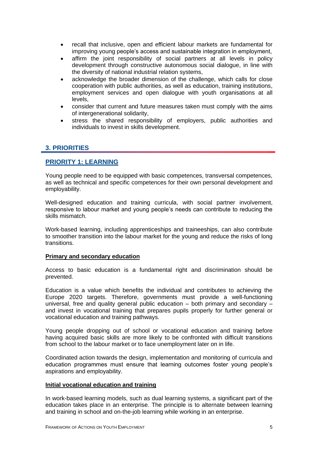- recall that inclusive, open and efficient labour markets are fundamental for improving young people's access and sustainable integration in employment,
- affirm the joint responsibility of social partners at all levels in policy development through constructive autonomous social dialogue, in line with the diversity of national industrial relation systems,
- acknowledge the broader dimension of the challenge, which calls for close cooperation with public authorities, as well as education, training institutions, employment services and open dialogue with youth organisations at all levels,
- consider that current and future measures taken must comply with the aims of intergenerational solidarity,
- stress the shared responsibility of employers, public authorities and individuals to invest in skills development.

# **3. PRIORITIES**

# **PRIORITY 1: LEARNING**

Young people need to be equipped with basic competences, transversal competences, as well as technical and specific competences for their own personal development and employability.

Well-designed education and training curricula, with social partner involvement, responsive to labour market and young people's needs can contribute to reducing the skills mismatch.

Work-based learning, including apprenticeships and traineeships, can also contribute to smoother transition into the labour market for the young and reduce the risks of long transitions.

# **Primary and secondary education**

Access to basic education is a fundamental right and discrimination should be prevented.

Education is a value which benefits the individual and contributes to achieving the Europe 2020 targets. Therefore, governments must provide a well-functioning universal, free and quality general public education – both primary and secondary – and invest in vocational training that prepares pupils properly for further general or vocational education and training pathways.

Young people dropping out of school or vocational education and training before having acquired basic skills are more likely to be confronted with difficult transitions from school to the labour market or to face unemployment later on in life.

Coordinated action towards the design, implementation and monitoring of curricula and education programmes must ensure that learning outcomes foster young people's aspirations and employability.

#### **Initial vocational education and training**

In work-based learning models, such as dual learning systems, a significant part of the education takes place in an enterprise. The principle is to alternate between learning and training in school and on-the-job learning while working in an enterprise.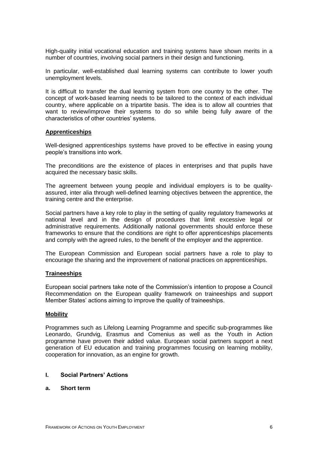High-quality initial vocational education and training systems have shown merits in a number of countries, involving social partners in their design and functioning.

In particular, well-established dual learning systems can contribute to lower youth unemployment levels.

It is difficult to transfer the dual learning system from one country to the other. The concept of work-based learning needs to be tailored to the context of each individual country, where applicable on a tripartite basis. The idea is to allow all countries that want to review/improve their systems to do so while being fully aware of the characteristics of other countries' systems.

#### **Apprenticeships**

Well-designed apprenticeships systems have proved to be effective in easing young people's transitions into work.

The preconditions are the existence of places in enterprises and that pupils have acquired the necessary basic skills.

The agreement between young people and individual employers is to be qualityassured, inter alia through well-defined learning objectives between the apprentice, the training centre and the enterprise.

Social partners have a key role to play in the setting of quality regulatory frameworks at national level and in the design of procedures that limit excessive legal or administrative requirements. Additionally national governments should enforce these frameworks to ensure that the conditions are right to offer apprenticeships placements and comply with the agreed rules, to the benefit of the employer and the apprentice.

The European Commission and European social partners have a role to play to encourage the sharing and the improvement of national practices on apprenticeships.

#### **Traineeships**

European social partners take note of the Commission's intention to propose a Council Recommendation on the European quality framework on traineeships and support Member States' actions aiming to improve the quality of traineeships.

#### **Mobility**

Programmes such as Lifelong Learning Programme and specific sub-programmes like Leonardo, Grundvig, Erasmus and Comenius as well as the Youth in Action programme have proven their added value. European social partners support a next generation of EU education and training programmes focusing on learning mobility, cooperation for innovation, as an engine for growth.

#### **I. Social Partners' Actions**

#### **a. Short term**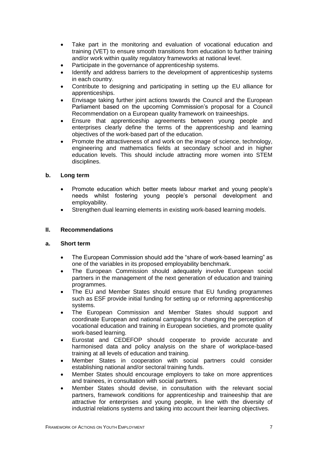- Take part in the monitoring and evaluation of vocational education and training (VET) to ensure smooth transitions from education to further training and/or work within quality regulatory frameworks at national level.
- Participate in the governance of apprenticeship systems.
- Identify and address barriers to the development of apprenticeship systems in each country.
- Contribute to designing and participating in setting up the EU alliance for apprenticeships.
- Envisage taking further joint actions towards the Council and the European Parliament based on the upcoming Commission's proposal for a Council Recommendation on a European quality framework on traineeships.
- Ensure that apprenticeship agreements between young people and enterprises clearly define the terms of the apprenticeship and learning objectives of the work-based part of the education.
- Promote the attractiveness of and work on the image of science, technology, engineering and mathematics fields at secondary school and in higher education levels. This should include attracting more women into STEM disciplines.

# **b. Long term**

- Promote education which better meets labour market and young people's needs whilst fostering young people's personal development and employability.
- Strengthen dual learning elements in existing work-based learning models.

# **II. Recommendations**

# **a. Short term**

- The European Commission should add the "share of work-based learning" as one of the variables in its proposed employability benchmark.
- The European Commission should adequately involve European social partners in the management of the next generation of education and training programmes.
- The EU and Member States should ensure that EU funding programmes such as ESF provide initial funding for setting up or reforming apprenticeship systems.
- The European Commission and Member States should support and coordinate European and national campaigns for changing the perception of vocational education and training in European societies, and promote quality work-based learning.
- Eurostat and CEDEFOP should cooperate to provide accurate and harmonised data and policy analysis on the share of workplace-based training at all levels of education and training.
- Member States in cooperation with social partners could consider establishing national and/or sectoral training funds.
- Member States should encourage employers to take on more apprentices and trainees, in consultation with social partners.
- Member States should devise, in consultation with the relevant social partners, framework conditions for apprenticeship and traineeship that are attractive for enterprises and young people, in line with the diversity of industrial relations systems and taking into account their learning objectives.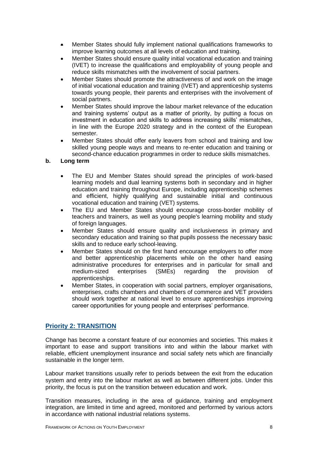- Member States should fully implement national qualifications frameworks to improve learning outcomes at all levels of education and training.
- Member States should ensure quality initial vocational education and training (IVET) to increase the qualifications and employability of young people and reduce skills mismatches with the involvement of social partners.
- Member States should promote the attractiveness of and work on the image of initial vocational education and training (IVET) and apprenticeship systems towards young people, their parents and enterprises with the involvement of social partners.
- Member States should improve the labour market relevance of the education and training systems' output as a matter of priority, by putting a focus on investment in education and skills to address increasing skills' mismatches, in line with the Europe 2020 strategy and in the context of the European semester.
- Member States should offer early leavers from school and training and low skilled young people ways and means to re-enter education and training or second-chance education programmes in order to reduce skills mismatches.

# **b. Long term**

- The EU and Member States should spread the principles of work-based learning models and dual learning systems both in secondary and in higher education and training throughout Europe, including apprenticeship schemes and efficient, highly qualifying and sustainable initial and continuous vocational education and training (VET) systems.
- The EU and Member States should encourage cross-border mobility of teachers and trainers, as well as young people's learning mobility and study of foreign languages.
- Member States should ensure quality and inclusiveness in primary and secondary education and training so that pupils possess the necessary basic skills and to reduce early school-leaving.
- Member States should on the first hand encourage employers to offer more and better apprenticeship placements while on the other hand easing administrative procedures for enterprises and in particular for small and medium-sized enterprises (SMEs) regarding the provision of apprenticeships.
- Member States, in cooperation with social partners, employer organisations, enterprises, crafts chambers and chambers of commerce and VET providers should work together at national level to ensure apprenticeships improving career opportunities for young people and enterprises' performance.

# **Priority 2: TRANSITION**

Change has become a constant feature of our economies and societies. This makes it important to ease and support transitions into and within the labour market with reliable, efficient unemployment insurance and social safety nets which are financially sustainable in the longer term.

Labour market transitions usually refer to periods between the exit from the education system and entry into the labour market as well as between different jobs. Under this priority, the focus is put on the transition between education and work.

Transition measures, including in the area of guidance, training and employment integration, are limited in time and agreed, monitored and performed by various actors in accordance with national industrial relations systems.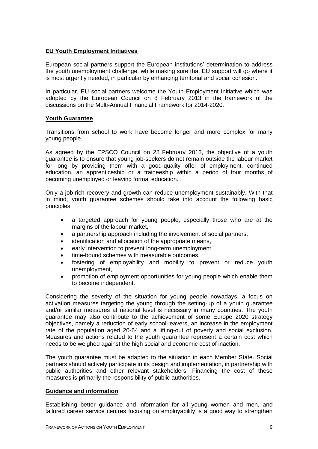# **EU Youth Employment Initiatives**

European social partners support the European institutions' determination to address the youth unemployment challenge, while making sure that EU support will go where it is most urgently needed, in particular by enhancing territorial and social cohesion.

In particular, EU social partners welcome the Youth Employment Initiative which was adopted by the European Council on 8 February 2013 in the framework of the discussions on the Multi-Annual Financial Framework for 2014-2020.

# **Youth Guarantee**

Transitions from school to work have become longer and more complex for many young people.

As agreed by the EPSCO Council on 28 February 2013, the objective of a youth guarantee is to ensure that young job-seekers do not remain outside the labour market for long by providing them with a good-quality offer of employment, continued education, an apprenticeship or a traineeship within a period of four months of becoming unemployed or leaving formal education.

Only a job-rich recovery and growth can reduce unemployment sustainably. With that in mind, youth guarantee schemes should take into account the following basic principles:

- a targeted approach for young people, especially those who are at the margins of the labour market.
- a partnership approach including the involvement of social partners,
- identification and allocation of the appropriate means,
- early intervention to prevent long-term unemployment,
- time-bound schemes with measurable outcomes,
- fostering of employability and mobility to prevent or reduce youth unemployment,
- promotion of employment opportunities for young people which enable them to become independent.

Considering the severity of the situation for young people nowadays, a focus on activation measures targeting the young through the setting-up of a youth guarantee and/or similar measures at national level is necessary in many countries. The youth guarantee may also contribute to the achievement of some Europe 2020 strategy objectives, namely a reduction of early school-leavers, an increase in the employment rate of the population aged 20-64 and a lifting-out of poverty and social exclusion. Measures and actions related to the youth guarantee represent a certain cost which needs to be weighed against the high social and economic cost of inaction.

The youth guarantee must be adapted to the situation in each Member State. Social partners should actively participate in its design and implementation, in partnership with public authorities and other relevant stakeholders. Financing the cost of these measures is primarily the responsibility of public authorities.

# **Guidance and information**

Establishing better guidance and information for all young women and men, and tailored career service centres focusing on employability is a good way to strengthen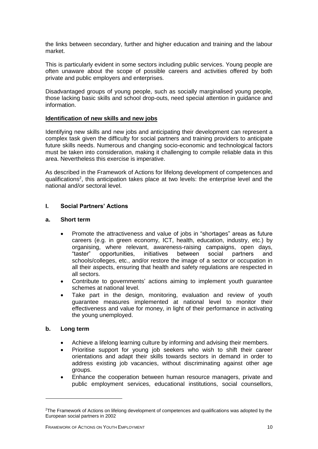the links between secondary, further and higher education and training and the labour market.

This is particularly evident in some sectors including public services. Young people are often unaware about the scope of possible careers and activities offered by both private and public employers and enterprises.

Disadvantaged groups of young people, such as socially marginalised young people, those lacking basic skills and school drop-outs, need special attention in guidance and information.

# **Identification of new skills and new jobs**

Identifying new skills and new jobs and anticipating their development can represent a complex task given the difficulty for social partners and training providers to anticipate future skills needs. Numerous and changing socio-economic and technological factors must be taken into consideration, making it challenging to compile reliable data in this area. Nevertheless this exercise is imperative.

As described in the Framework of Actions for lifelong development of competences and qualifications<sup>2</sup>, this anticipation takes place at two levels: the enterprise level and the national and/or sectoral level.

# **I. Social Partners' Actions**

# **a. Short term**

- Promote the attractiveness and value of jobs in "shortages" areas as future careers (e.g. in green economy, ICT, health, education, industry, etc.) by organising, where relevant, awareness-raising campaigns, open days, "taster" opportunities, initiatives between social partners and schools/colleges, etc., and/or restore the image of a sector or occupation in all their aspects, ensuring that health and safety regulations are respected in all sectors.
- Contribute to governments' actions aiming to implement youth guarantee schemes at national level.
- Take part in the design, monitoring, evaluation and review of youth guarantee measures implemented at national level to monitor their effectiveness and value for money, in light of their performance in activating the young unemployed.

# **b. Long term**

- Achieve a lifelong learning culture by informing and advising their members.
- Prioritise support for young job seekers who wish to shift their career orientations and adapt their skills towards sectors in demand in order to address existing job vacancies, without discriminating against other age groups.
- Enhance the cooperation between human resource managers, private and public employment services, educational institutions, social counsellors,

<sup>2</sup>The Framework of Actions on lifelong development of competences and qualifications was adopted by the European social partners in 2002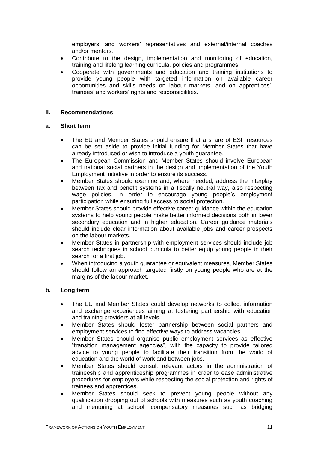employers' and workers' representatives and external/internal coaches and/or mentors.

- Contribute to the design, implementation and monitoring of education, training and lifelong learning curricula, policies and programmes.
- Cooperate with governments and education and training institutions to provide young people with targeted information on available career opportunities and skills needs on labour markets, and on apprentices', trainees' and workers' rights and responsibilities.

#### **II. Recommendations**

#### **a. Short term**

- The EU and Member States should ensure that a share of ESF resources can be set aside to provide initial funding for Member States that have already introduced or wish to introduce a youth guarantee.
- The European Commission and Member States should involve European and national social partners in the design and implementation of the Youth Employment Initiative in order to ensure its success.
- Member States should examine and, where needed, address the interplay between tax and benefit systems in a fiscally neutral way, also respecting wage policies, in order to encourage young people's employment participation while ensuring full access to social protection.
- Member States should provide effective career guidance within the education systems to help young people make better informed decisions both in lower secondary education and in higher education. Career guidance materials should include clear information about available jobs and career prospects on the labour markets.
- Member States in partnership with employment services should include job search techniques in school curricula to better equip young people in their search for a first job.
- When introducing a youth guarantee or equivalent measures, Member States should follow an approach targeted firstly on young people who are at the margins of the labour market.

# **b. Long term**

- The EU and Member States could develop networks to collect information and exchange experiences aiming at fostering partnership with education and training providers at all levels.
- Member States should foster partnership between social partners and employment services to find effective ways to address vacancies.
- Member States should organise public employment services as effective "transition management agencies", with the capacity to provide tailored advice to young people to facilitate their transition from the world of education and the world of work and between jobs.
- Member States should consult relevant actors in the administration of traineeship and apprenticeship programmes in order to ease administrative procedures for employers while respecting the social protection and rights of trainees and apprentices.
- Member States should seek to prevent young people without any qualification dropping out of schools with measures such as youth coaching and mentoring at school, compensatory measures such as bridging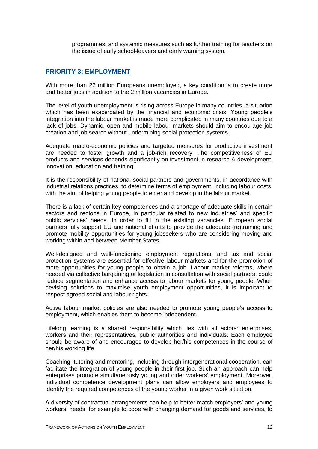programmes, and systemic measures such as further training for teachers on the issue of early school-leavers and early warning system.

# **PRIORITY 3: EMPLOYMENT**

With more than 26 million Europeans unemployed, a key condition is to create more and better jobs in addition to the 2 million vacancies in Europe.

The level of youth unemployment is rising across Europe in many countries, a situation which has been exacerbated by the financial and economic crisis. Young people's integration into the labour market is made more complicated in many countries due to a lack of jobs. Dynamic, open and mobile labour markets should aim to encourage job creation and job search without undermining social protection systems.

Adequate macro-economic policies and targeted measures for productive investment are needed to foster growth and a job-rich recovery. The competitiveness of EU products and services depends significantly on investment in research & development, innovation, education and training.

It is the responsibility of national social partners and governments, in accordance with industrial relations practices, to determine terms of employment, including labour costs, with the aim of helping young people to enter and develop in the labour market.

There is a lack of certain key competences and a shortage of adequate skills in certain sectors and regions in Europe, in particular related to new industries' and specific public services' needs. In order to fill in the existing vacancies, European social partners fully support EU and national efforts to provide the adequate (re)training and promote mobility opportunities for young jobseekers who are considering moving and working within and between Member States.

Well-designed and well-functioning employment regulations, and tax and social protection systems are essential for effective labour markets and for the promotion of more opportunities for young people to obtain a job. Labour market reforms, where needed via collective bargaining or legislation in consultation with social partners, could reduce segmentation and enhance access to labour markets for young people. When devising solutions to maximise youth employment opportunities, it is important to respect agreed social and labour rights.

Active labour market policies are also needed to promote young people's access to employment, which enables them to become independent.

Lifelong learning is a shared responsibility which lies with all actors: enterprises, workers and their representatives, public authorities and individuals. Each employee should be aware of and encouraged to develop her/his competences in the course of her/his working life.

Coaching, tutoring and mentoring, including through intergenerational cooperation, can facilitate the integration of young people in their first job. Such an approach can help enterprises promote simultaneously young and older workers' employment. Moreover, individual competence development plans can allow employers and employees to identify the required competences of the young worker in a given work situation.

A diversity of contractual arrangements can help to better match employers' and young workers' needs, for example to cope with changing demand for goods and services, to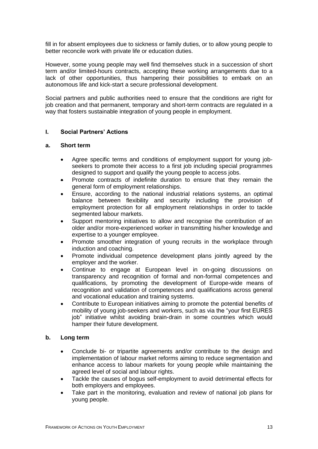fill in for absent employees due to sickness or family duties, or to allow young people to better reconcile work with private life or education duties.

However, some young people may well find themselves stuck in a succession of short term and/or limited-hours contracts, accepting these working arrangements due to a lack of other opportunities, thus hampering their possibilities to embark on an autonomous life and kick-start a secure professional development.

Social partners and public authorities need to ensure that the conditions are right for job creation and that permanent, temporary and short-term contracts are regulated in a way that fosters sustainable integration of young people in employment.

# **I. Social Partners' Actions**

#### **a. Short term**

- Agree specific terms and conditions of employment support for young jobseekers to promote their access to a first job including special programmes designed to support and qualify the young people to access jobs.
- Promote contracts of indefinite duration to ensure that they remain the general form of employment relationships.
- Ensure, according to the national industrial relations systems, an optimal balance between flexibility and security including the provision of employment protection for all employment relationships in order to tackle segmented labour markets.
- Support mentoring initiatives to allow and recognise the contribution of an older and/or more-experienced worker in transmitting his/her knowledge and expertise to a younger employee.
- Promote smoother integration of young recruits in the workplace through induction and coaching.
- Promote individual competence development plans jointly agreed by the employer and the worker.
- Continue to engage at European level in on-going discussions on transparency and recognition of formal and non-formal competences and qualifications, by promoting the development of Europe-wide means of recognition and validation of competences and qualifications across general and vocational education and training systems.
- Contribute to European initiatives aiming to promote the potential benefits of mobility of young job-seekers and workers, such as via the "your first EURES job" initiative whilst avoiding brain-drain in some countries which would hamper their future development.

# **b. Long term**

- Conclude bi- or tripartite agreements and/or contribute to the design and implementation of labour market reforms aiming to reduce segmentation and enhance access to labour markets for young people while maintaining the agreed level of social and labour rights.
- Tackle the causes of bogus self-employment to avoid detrimental effects for both employers and employees.
- Take part in the monitoring, evaluation and review of national job plans for young people.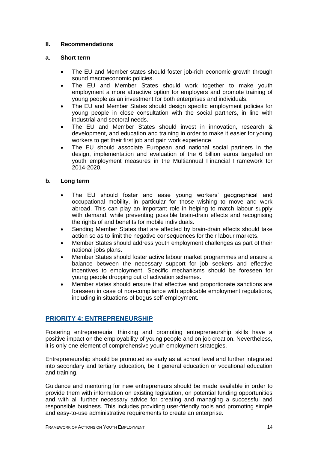# **II. Recommendations**

# **a. Short term**

- The EU and Member states should foster job-rich economic growth through sound macroeconomic policies.
- The EU and Member States should work together to make youth employment a more attractive option for employers and promote training of young people as an investment for both enterprises and individuals.
- The EU and Member States should design specific employment policies for young people in close consultation with the social partners, in line with industrial and sectoral needs.
- The EU and Member States should invest in innovation, research & development, and education and training in order to make it easier for young workers to get their first job and gain work experience.
- The EU should associate European and national social partners in the design, implementation and evaluation of the 6 billion euros targeted on youth employment measures in the Multiannual Financial Framework for 2014-2020.

# **b. Long term**

- The EU should foster and ease young workers' geographical and occupational mobility, in particular for those wishing to move and work abroad. This can play an important role in helping to match labour supply with demand, while preventing possible brain-drain effects and recognising the rights of and benefits for mobile individuals.
- Sending Member States that are affected by brain-drain effects should take action so as to limit the negative consequences for their labour markets.
- Member States should address youth employment challenges as part of their national jobs plans.
- Member States should foster active labour market programmes and ensure a balance between the necessary support for job seekers and effective incentives to employment. Specific mechanisms should be foreseen for young people dropping out of activation schemes.
- Member states should ensure that effective and proportionate sanctions are foreseen in case of non-compliance with applicable employment regulations, including in situations of bogus self-employment.

# **PRIORITY 4: ENTREPRENEURSHIP**

Fostering entrepreneurial thinking and promoting entrepreneurship skills have a positive impact on the employability of young people and on job creation. Nevertheless, it is only one element of comprehensive youth employment strategies.

Entrepreneurship should be promoted as early as at school level and further integrated into secondary and tertiary education, be it general education or vocational education and training.

Guidance and mentoring for new entrepreneurs should be made available in order to provide them with information on existing legislation, on potential funding opportunities and with all further necessary advice for creating and managing a successful and responsible business. This includes providing user-friendly tools and promoting simple and easy-to-use administrative requirements to create an enterprise.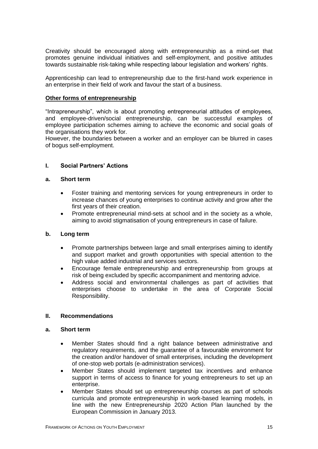Creativity should be encouraged along with entrepreneurship as a mind-set that promotes genuine individual initiatives and self-employment, and positive attitudes towards sustainable risk-taking while respecting labour legislation and workers' rights.

Apprenticeship can lead to entrepreneurship due to the first-hand work experience in an enterprise in their field of work and favour the start of a business.

## **Other forms of entrepreneurship**

"Intrapreneurship", which is about promoting entrepreneurial attitudes of employees, and employee-driven/social entrepreneurship, can be successful examples of employee participation schemes aiming to achieve the economic and social goals of the organisations they work for.

However, the boundaries between a worker and an employer can be blurred in cases of bogus self-employment.

# **I. Social Partners' Actions**

#### **a. Short term**

- Foster training and mentoring services for young entrepreneurs in order to increase chances of young enterprises to continue activity and grow after the first years of their creation.
- Promote entrepreneurial mind-sets at school and in the society as a whole, aiming to avoid stigmatisation of young entrepreneurs in case of failure.

#### **b. Long term**

- Promote partnerships between large and small enterprises aiming to identify and support market and growth opportunities with special attention to the high value added industrial and services sectors.
- Encourage female entrepreneurship and entrepreneurship from groups at risk of being excluded by specific accompaniment and mentoring advice.
- Address social and environmental challenges as part of activities that enterprises choose to undertake in the area of Corporate Social Responsibility.

#### **II. Recommendations**

#### **a. Short term**

- Member States should find a right balance between administrative and regulatory requirements, and the guarantee of a favourable environment for the creation and/or handover of small enterprises, including the development of one-stop web portals (e-administration services).
- Member States should implement targeted tax incentives and enhance support in terms of access to finance for young entrepreneurs to set up an enterprise.
- Member States should set up entrepreneurship courses as part of schools curricula and promote entrepreneurship in work-based learning models, in line with the new Entrepreneurship 2020 Action Plan launched by the European Commission in January 2013.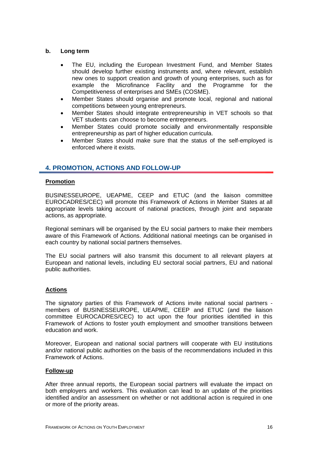## **b. Long term**

- The EU, including the European Investment Fund, and Member States should develop further existing instruments and, where relevant, establish new ones to support creation and growth of young enterprises, such as for example the Microfinance Facility and the Programme for the Competitiveness of enterprises and SMEs (COSME).
- Member States should organise and promote local, regional and national competitions between young entrepreneurs.
- Member States should integrate entrepreneurship in VET schools so that VET students can choose to become entrepreneurs.
- Member States could promote socially and environmentally responsible entrepreneurship as part of higher education curricula.
- Member States should make sure that the status of the self-employed is enforced where it exists.

# **4. PROMOTION, ACTIONS AND FOLLOW-UP**

#### **Promotion**

BUSINESSEUROPE, UEAPME, CEEP and ETUC (and the liaison committee EUROCADRES/CEC) will promote this Framework of Actions in Member States at all appropriate levels taking account of national practices, through joint and separate actions, as appropriate.

Regional seminars will be organised by the EU social partners to make their members aware of this Framework of Actions. Additional national meetings can be organised in each country by national social partners themselves.

The EU social partners will also transmit this document to all relevant players at European and national levels, including EU sectoral social partners, EU and national public authorities.

#### **Actions**

The signatory parties of this Framework of Actions invite national social partners members of BUSINESSEUROPE, UEAPME, CEEP and ETUC (and the liaison committee EUROCADRES/CEC) to act upon the four priorities identified in this Framework of Actions to foster youth employment and smoother transitions between education and work.

Moreover, European and national social partners will cooperate with EU institutions and/or national public authorities on the basis of the recommendations included in this Framework of Actions.

#### **Follow-up**

After three annual reports, the European social partners will evaluate the impact on both employers and workers. This evaluation can lead to an update of the priorities identified and/or an assessment on whether or not additional action is required in one or more of the priority areas.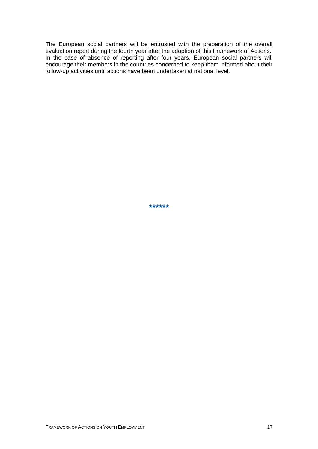The European social partners will be entrusted with the preparation of the overall evaluation report during the fourth year after the adoption of this Framework of Actions. In the case of absence of reporting after four years, European social partners will encourage their members in the countries concerned to keep them informed about their follow-up activities until actions have been undertaken at national level.

**\*\*\*\*\*\***